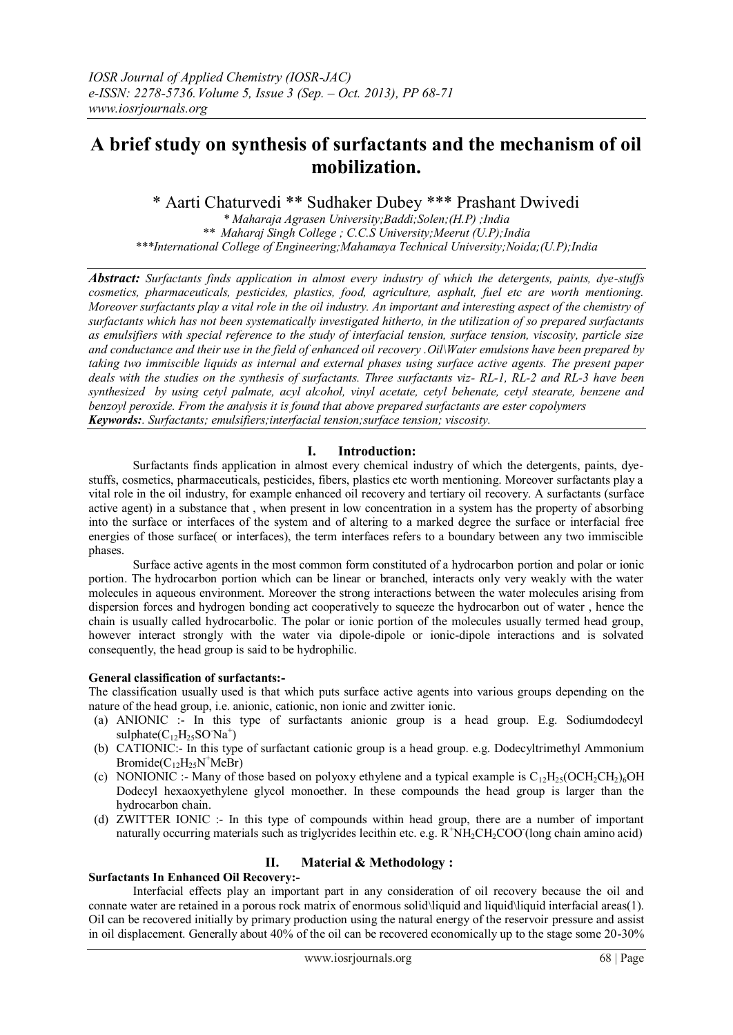# **A brief study on synthesis of surfactants and the mechanism of oil mobilization.**

\* Aarti Chaturvedi \*\* Sudhaker Dubey \*\*\* Prashant Dwivedi

*\* Maharaja Agrasen University;Baddi;Solen;(H.P) ;India \*\* Maharaj Singh College ; C.C.S University;Meerut (U.P);India \*\*\*International College of Engineering;Mahamaya Technical University;Noida;(U.P);India*

*Abstract: Surfactants finds application in almost every industry of which the detergents, paints, dye-stuffs cosmetics, pharmaceuticals, pesticides, plastics, food, agriculture, asphalt, fuel etc are worth mentioning. Moreover surfactants play a vital role in the oil industry. An important and interesting aspect of the chemistry of surfactants which has not been systematically investigated hitherto, in the utilization of so prepared surfactants as emulsifiers with special reference to the study of interfacial tension, surface tension, viscosity, particle size and conductance and their use in the field of enhanced oil recovery .Oil\Water emulsions have been prepared by taking two immiscible liquids as internal and external phases using surface active agents. The present paper deals with the studies on the synthesis of surfactants. Three surfactants viz- RL-1, RL-2 and RL-3 have been synthesized by using cetyl palmate, acyl alcohol, vinyl acetate, cetyl behenate, cetyl stearate, benzene and benzoyl peroxide. From the analysis it is found that above prepared surfactants are ester copolymers Keywords:. Surfactants; emulsifiers;interfacial tension;surface tension; viscosity.*

# **I. Introduction:**

Surfactants finds application in almost every chemical industry of which the detergents, paints, dyestuffs, cosmetics, pharmaceuticals, pesticides, fibers, plastics etc worth mentioning. Moreover surfactants play a vital role in the oil industry, for example enhanced oil recovery and tertiary oil recovery. A surfactants (surface active agent) in a substance that , when present in low concentration in a system has the property of absorbing into the surface or interfaces of the system and of altering to a marked degree the surface or interfacial free energies of those surface( or interfaces), the term interfaces refers to a boundary between any two immiscible phases.

Surface active agents in the most common form constituted of a hydrocarbon portion and polar or ionic portion. The hydrocarbon portion which can be linear or branched, interacts only very weakly with the water molecules in aqueous environment. Moreover the strong interactions between the water molecules arising from dispersion forces and hydrogen bonding act cooperatively to squeeze the hydrocarbon out of water , hence the chain is usually called hydrocarbolic. The polar or ionic portion of the molecules usually termed head group, however interact strongly with the water via dipole-dipole or ionic-dipole interactions and is solvated consequently, the head group is said to be hydrophilic.

# **General classification of surfactants:-**

The classification usually used is that which puts surface active agents into various groups depending on the nature of the head group, i.e. anionic, cationic, non ionic and zwitter ionic.

- (a) ANIONIC :- In this type of surfactants anionic group is a head group. E.g. Sodiumdodecyl  $\text{suphate}(C_{12}H_{25}SO^{\dagger}Na^{+})$
- (b) CATIONIC:- In this type of surfactant cationic group is a head group. e.g. Dodecyltrimethyl Ammonium  $Bromide(C_{12}H_{25}N^{+}MeBr)$
- (c) NONIONIC :- Many of those based on polyoxy ethylene and a typical example is  $C_1/H_25(OCH_2CH_2)_6OH$ Dodecyl hexaoxyethylene glycol monoether. In these compounds the head group is larger than the hydrocarbon chain.
- (d) ZWITTER IONIC :- In this type of compounds within head group, there are a number of important naturally occurring materials such as triglycrides lecithin etc. e.g. R<sup>+</sup>NH<sub>2</sub>CH<sub>2</sub>COO (long chain amino acid)

# **II. Material & Methodology :**

# **Surfactants In Enhanced Oil Recovery:-**

Interfacial effects play an important part in any consideration of oil recovery because the oil and connate water are retained in a porous rock matrix of enormous solid\liquid and liquid\liquid interfacial areas(1). Oil can be recovered initially by primary production using the natural energy of the reservoir pressure and assist in oil displacement. Generally about 40% of the oil can be recovered economically up to the stage some 20-30%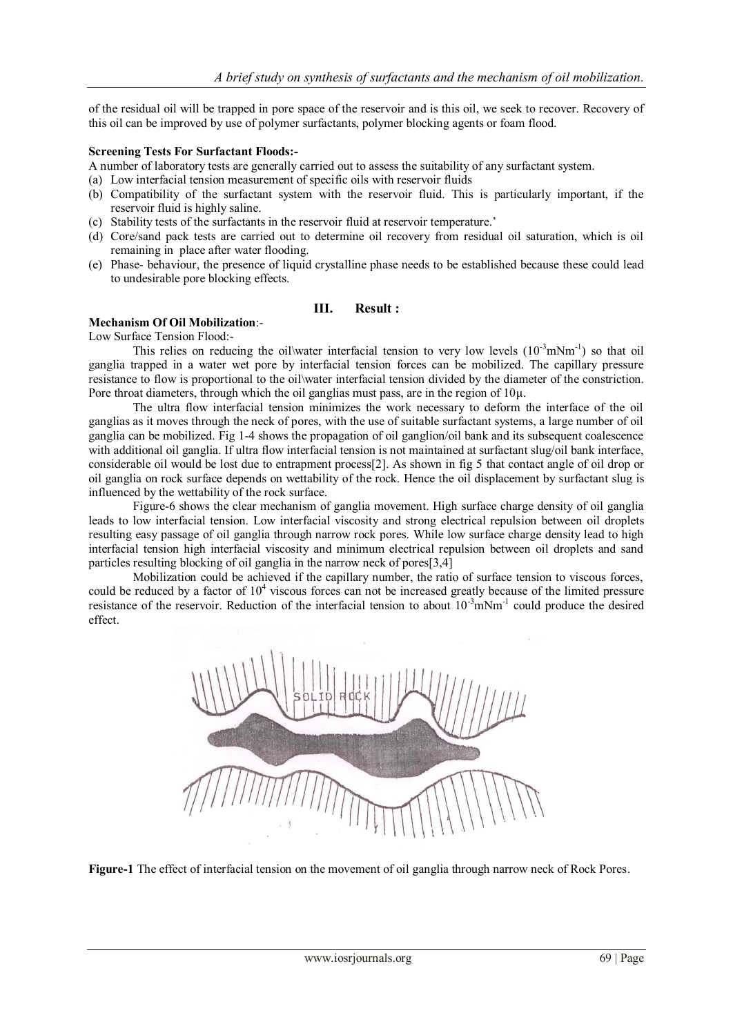of the residual oil will be trapped in pore space of the reservoir and is this oil, we seek to recover. Recovery of this oil can be improved by use of polymer surfactants, polymer blocking agents or foam flood.

#### **Screening Tests For Surfactant Floods:-**

A number of laboratory tests are generally carried out to assess the suitability of any surfactant system.

- (a) Low interfacial tension measurement of specific oils with reservoir fluids
- (b) Compatibility of the surfactant system with the reservoir fluid. This is particularly important, if the reservoir fluid is highly saline.
- (c) Stability tests of the surfactants in the reservoir fluid at reservoir temperature.'
- (d) Core/sand pack tests are carried out to determine oil recovery from residual oil saturation, which is oil remaining in place after water flooding.
- (e) Phase- behaviour, the presence of liquid crystalline phase needs to be established because these could lead to undesirable pore blocking effects.

## **III. Result :**

## **Mechanism Of Oil Mobilization**:-

Low Surface Tension Flood:-

This relies on reducing the oil\water interfacial tension to very low levels  $(10^{-3} \text{mNm}^{-1})$  so that oil ganglia trapped in a water wet pore by interfacial tension forces can be mobilized. The capillary pressure resistance to flow is proportional to the oil\water interfacial tension divided by the diameter of the constriction. Pore throat diameters, through which the oil ganglias must pass, are in the region of 10μ.

The ultra flow interfacial tension minimizes the work necessary to deform the interface of the oil ganglias as it moves through the neck of pores, with the use of suitable surfactant systems, a large number of oil ganglia can be mobilized. Fig 1-4 shows the propagation of oil ganglion/oil bank and its subsequent coalescence with additional oil ganglia. If ultra flow interfacial tension is not maintained at surfactant slug/oil bank interface, considerable oil would be lost due to entrapment process[2]. As shown in fig 5 that contact angle of oil drop or oil ganglia on rock surface depends on wettability of the rock. Hence the oil displacement by surfactant slug is influenced by the wettability of the rock surface.

Figure-6 shows the clear mechanism of ganglia movement. High surface charge density of oil ganglia leads to low interfacial tension. Low interfacial viscosity and strong electrical repulsion between oil droplets resulting easy passage of oil ganglia through narrow rock pores. While low surface charge density lead to high interfacial tension high interfacial viscosity and minimum electrical repulsion between oil droplets and sand particles resulting blocking of oil ganglia in the narrow neck of pores[3,4]

Mobilization could be achieved if the capillary number, the ratio of surface tension to viscous forces, could be reduced by a factor of  $10^4$  viscous forces can not be increased greatly because of the limited pressure resistance of the reservoir. Reduction of the interfacial tension to about 10<sup>-3</sup>mNm<sup>-1</sup> could produce the desired effect.



**Figure-1** The effect of interfacial tension on the movement of oil ganglia through narrow neck of Rock Pores.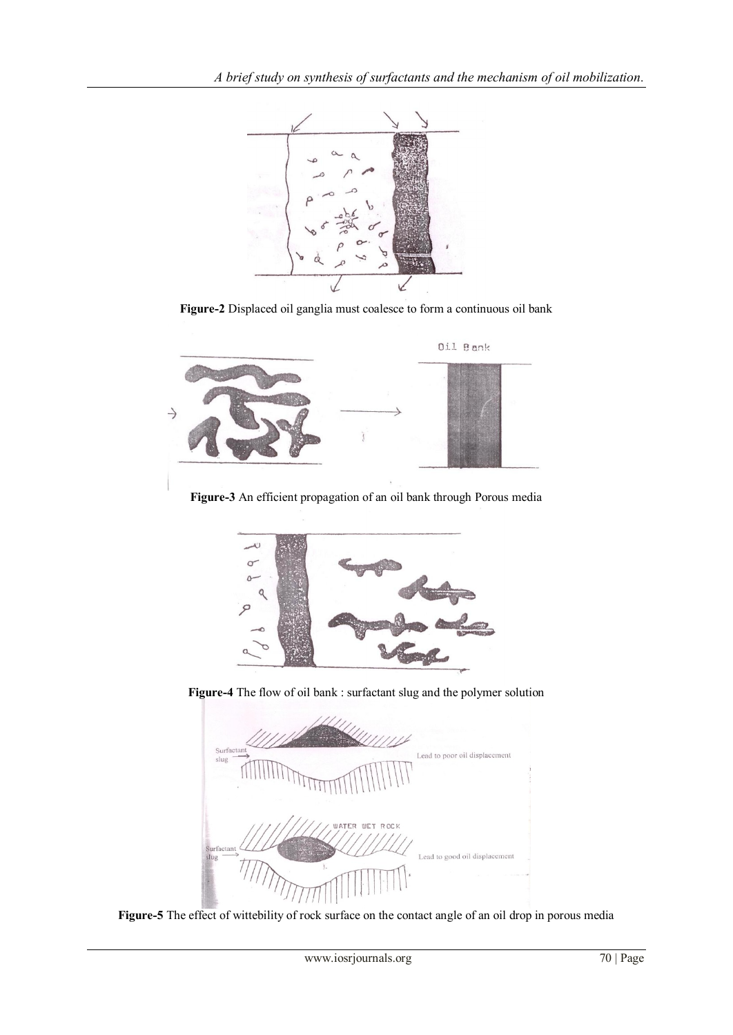

**Figure-2** Displaced oil ganglia must coalesce to form a continuous oil bank



**Figure-3** An efficient propagation of an oil bank through Porous media



**Figure-4** The flow of oil bank : surfactant slug and the polymer solution



**Figure-5** The effect of wittebility of rock surface on the contact angle of an oil drop in porous media